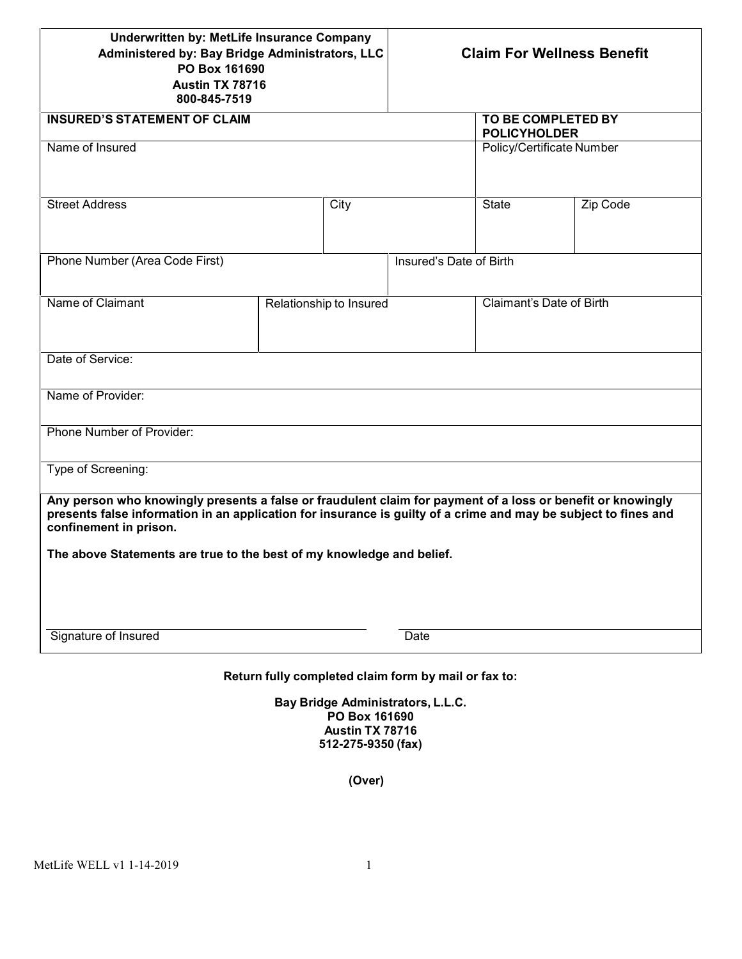| Underwritten by: MetLife Insurance Company<br>Administered by: Bay Bridge Administrators, LLC<br>PO Box 161690<br>Austin TX 78716<br>800-845-7519                                                                                                                                                                                 |                                                                       | <b>Claim For Wellness Benefit</b>                |                           |
|-----------------------------------------------------------------------------------------------------------------------------------------------------------------------------------------------------------------------------------------------------------------------------------------------------------------------------------|-----------------------------------------------------------------------|--------------------------------------------------|---------------------------|
| <b>INSURED'S STATEMENT OF CLAIM</b>                                                                                                                                                                                                                                                                                               |                                                                       | <b>TO BE COMPLETED BY</b><br><b>POLICYHOLDER</b> |                           |
| Name of Insured                                                                                                                                                                                                                                                                                                                   |                                                                       |                                                  | Policy/Certificate Number |
| <b>Street Address</b>                                                                                                                                                                                                                                                                                                             | City                                                                  | <b>State</b>                                     | Zip Code                  |
| Phone Number (Area Code First)                                                                                                                                                                                                                                                                                                    |                                                                       | Insured's Date of Birth                          |                           |
| Name of Claimant                                                                                                                                                                                                                                                                                                                  | Relationship to Insured                                               |                                                  | Claimant's Date of Birth  |
| Date of Service:                                                                                                                                                                                                                                                                                                                  |                                                                       |                                                  |                           |
| Name of Provider:                                                                                                                                                                                                                                                                                                                 |                                                                       |                                                  |                           |
| Phone Number of Provider:                                                                                                                                                                                                                                                                                                         |                                                                       |                                                  |                           |
| Type of Screening:                                                                                                                                                                                                                                                                                                                |                                                                       |                                                  |                           |
| Any person who knowingly presents a false or fraudulent claim for payment of a loss or benefit or knowingly<br>presents false information in an application for insurance is guilty of a crime and may be subject to fines and<br>confinement in prison.<br>The above Statements are true to the best of my knowledge and belief. |                                                                       |                                                  |                           |
|                                                                                                                                                                                                                                                                                                                                   |                                                                       |                                                  |                           |
| Signature of Insured                                                                                                                                                                                                                                                                                                              |                                                                       | Date                                             |                           |
|                                                                                                                                                                                                                                                                                                                                   | Return fully completed claim form by mail or fax to:                  |                                                  |                           |
|                                                                                                                                                                                                                                                                                                                                   | Bay Bridge Administrators, L.L.C.<br>PO Box 161690<br>Austin TX 78716 |                                                  |                           |

**(Over)**

**512-275-9350 (fax)**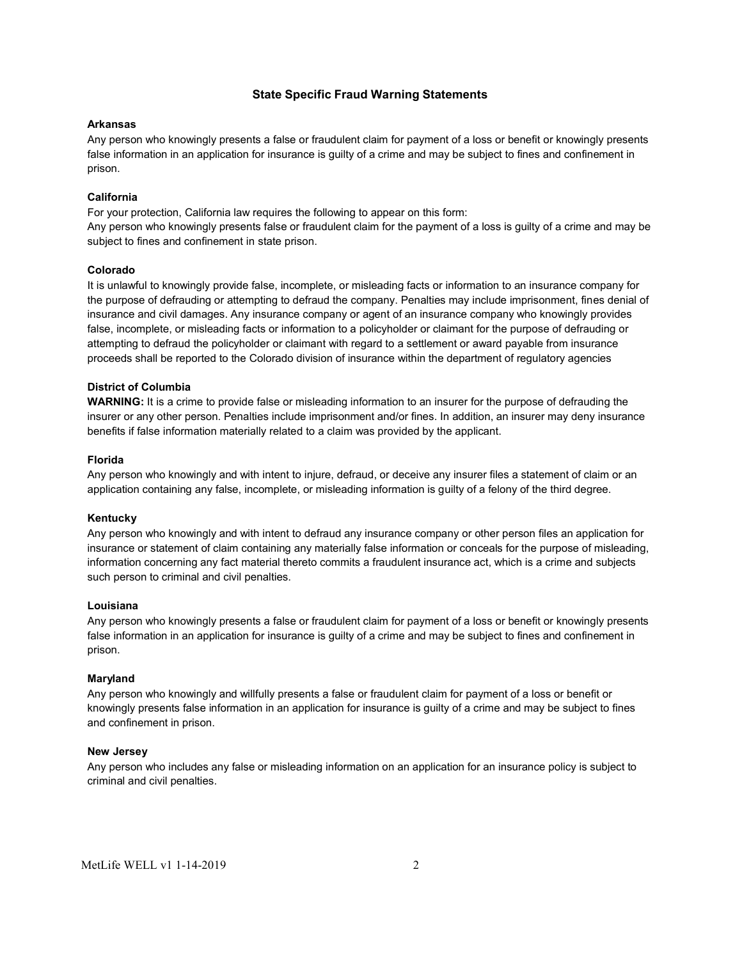# **State Specific Fraud Warning Statements**

### **Arkansas**

Any person who knowingly presents a false or fraudulent claim for payment of a loss or benefit or knowingly presents false information in an application for insurance is guilty of a crime and may be subject to fines and confinement in prison.

# **California**

For your protection, California law requires the following to appear on this form: Any person who knowingly presents false or fraudulent claim for the payment of a loss is guilty of a crime and may be subject to fines and confinement in state prison.

# **Colorado**

It is unlawful to knowingly provide false, incomplete, or misleading facts or information to an insurance company for the purpose of defrauding or attempting to defraud the company. Penalties may include imprisonment, fines denial of insurance and civil damages. Any insurance company or agent of an insurance company who knowingly provides false, incomplete, or misleading facts or information to a policyholder or claimant for the purpose of defrauding or attempting to defraud the policyholder or claimant with regard to a settlement or award payable from insurance proceeds shall be reported to the Colorado division of insurance within the department of regulatory agencies

# **District of Columbia**

**WARNING:** It is a crime to provide false or misleading information to an insurer for the purpose of defrauding the insurer or any other person. Penalties include imprisonment and/or fines. In addition, an insurer may deny insurance benefits if false information materially related to a claim was provided by the applicant.

### **Florida**

Any person who knowingly and with intent to injure, defraud, or deceive any insurer files a statement of claim or an application containing any false, incomplete, or misleading information is guilty of a felony of the third degree.

#### **Kentucky**

Any person who knowingly and with intent to defraud any insurance company or other person files an application for insurance or statement of claim containing any materially false information or conceals for the purpose of misleading, information concerning any fact material thereto commits a fraudulent insurance act, which is a crime and subjects such person to criminal and civil penalties.

#### **Louisiana**

Any person who knowingly presents a false or fraudulent claim for payment of a loss or benefit or knowingly presents false information in an application for insurance is guilty of a crime and may be subject to fines and confinement in prison.

#### **Maryland**

Any person who knowingly and willfully presents a false or fraudulent claim for payment of a loss or benefit or knowingly presents false information in an application for insurance is guilty of a crime and may be subject to fines and confinement in prison.

### **New Jersey**

Any person who includes any false or misleading information on an application for an insurance policy is subject to criminal and civil penalties.